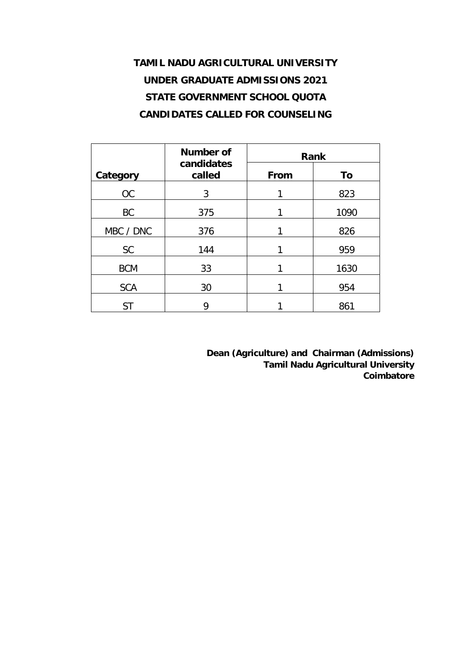## **TAMIL NADU AGRICULTURAL UNIVERSITY UNDER GRADUATE ADMISSIONS 2021 STATE GOVERNMENT SCHOOL QUOTA CANDIDATES CALLED FOR COUNSELING**

|            | Number of            | Rank |      |  |  |  |
|------------|----------------------|------|------|--|--|--|
| Category   | candidates<br>called | From | To   |  |  |  |
| OC         | 3                    | 1    | 823  |  |  |  |
| <b>BC</b>  | 375                  |      | 1090 |  |  |  |
| MBC / DNC  | 376                  |      | 826  |  |  |  |
| <b>SC</b>  | 144                  | 1    | 959  |  |  |  |
| <b>BCM</b> | 33                   | 1    | 1630 |  |  |  |
| <b>SCA</b> | 30                   |      | 954  |  |  |  |
| <b>ST</b>  | 9                    |      | 861  |  |  |  |

**Dean (Agriculture) and Chairman (Admissions) Tamil Nadu Agricultural University Coimbatore**